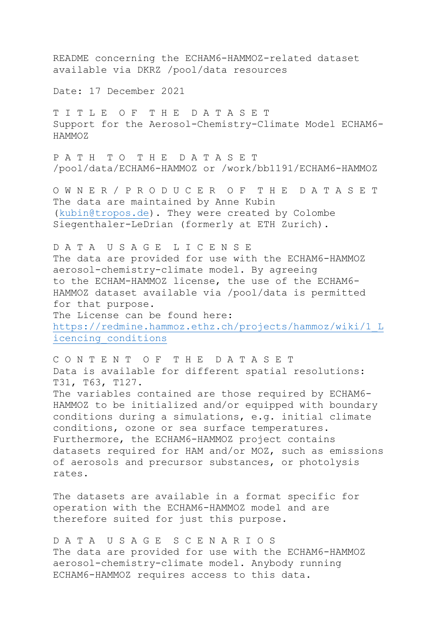README concerning the ECHAM6-HAMMOZ-related dataset available via DKRZ /pool/data resources Date: 17 December 2021 T I T L E O F T H E D A T A S E T Support for the Aerosol-Chemistry-Climate Model ECHAM6- HAMMOZ P A T H T O T H E D A T A S E T /pool/data/ECHAM6-HAMMOZ or /work/bb1191/ECHAM6-HAMMOZ O W N E R / P R O D U C E R O F T H E D A T A S E T The data are maintained by Anne Kubin (kubin@tropos.de). They were created by Colombe Siegenthaler-LeDrian (formerly at ETH Zurich). D A T A U S A G E L I C E N S E The data are provided for use with the ECHAM6-HAMMOZ aerosol-chemistry-climate model. By agreeing to the ECHAM-HAMMOZ license, the use of the ECHAM6- HAMMOZ dataset available via /pool/data is permitted for that purpose. The License can be found here: https://redmine.hammoz.ethz.ch/projects/hammoz/wiki/1\_L icencing\_conditions C O N T E N T O F T H E D A T A S E T Data is available for different spatial resolutions: T31, T63, T127. The variables contained are those required by ECHAM6- HAMMOZ to be initialized and/or equipped with boundary conditions during a simulations, e.g. initial climate conditions, ozone or sea surface temperatures. Furthermore, the ECHAM6-HAMMOZ project contains datasets required for HAM and/or MOZ, such as emissions of aerosols and precursor substances, or photolysis

The datasets are available in a format specific for operation with the ECHAM6-HAMMOZ model and are therefore suited for just this purpose.

rates.

D A T A U S A G E S C E N A R I O S The data are provided for use with the ECHAM6-HAMMOZ aerosol-chemistry-climate model. Anybody running ECHAM6-HAMMOZ requires access to this data.